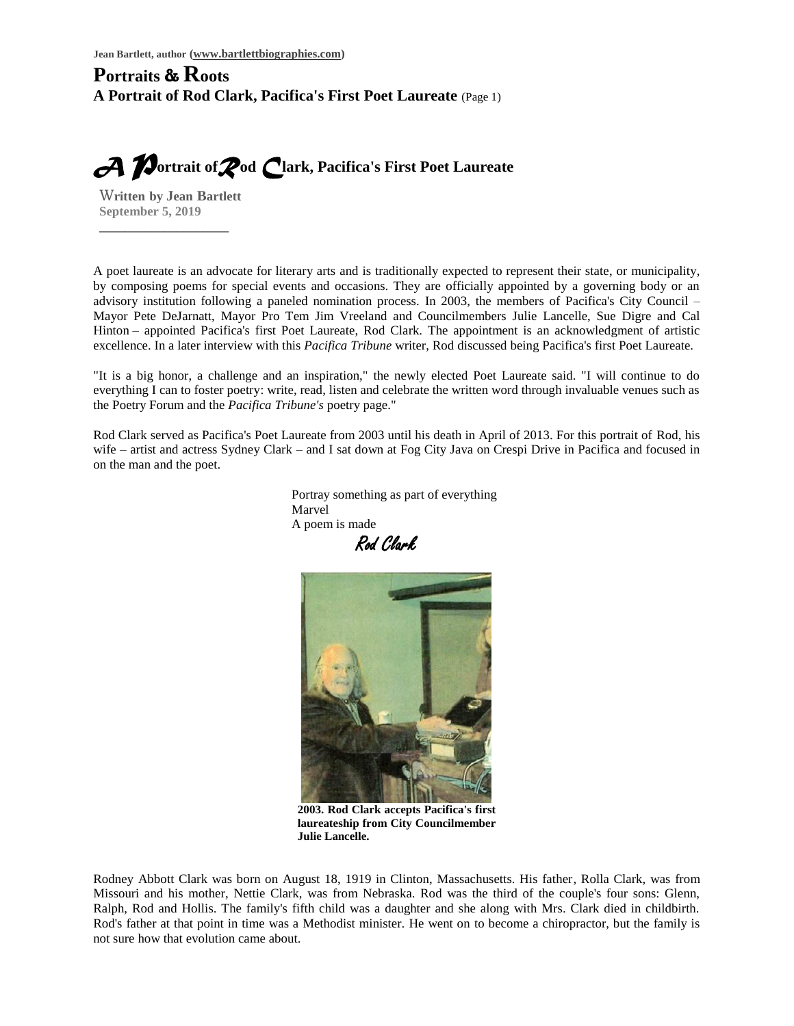### **Portraits & Roots A Portrait of Rod Clark, Pacifica's First Poet Laureate** (Page 1)

*A P***ortrait of***R***od** *C***lark, Pacifica's First Poet Laureate**

W**ritten****by Jean****Bartlett September 5, 2019**

\_\_\_\_\_\_\_\_\_\_\_\_\_\_\_\_\_\_\_\_

A poet laureate is an advocate for literary arts and is traditionally expected to represent their state, or municipality, by composing poems for special events and occasions. They are officially appointed by a governing body or an advisory institution following a paneled nomination process. In 2003, the members of Pacifica's City Council – Mayor Pete DeJarnatt, Mayor Pro Tem Jim Vreeland and Councilmembers Julie Lancelle, Sue Digre and Cal Hinton – appointed Pacifica's first Poet Laureate, Rod Clark. The appointment is an acknowledgment of artistic excellence. In a later interview with this *Pacifica Tribune* writer, Rod discussed being Pacifica's first Poet Laureate.

"It is a big honor, a challenge and an inspiration," the newly elected Poet Laureate said. "I will continue to do everything I can to foster poetry: write, read, listen and celebrate the written word through invaluable venues such as the Poetry Forum and the *Pacifica Tribune's* poetry page."

Rod Clark served as Pacifica's Poet Laureate from 2003 until his death in April of 2013. For this portrait of Rod, his wife – artist and actress Sydney Clark – and I sat down at Fog City Java on Crespi Drive in Pacifica and focused in on the man and the poet.

> Portray something as part of everything Marvel A poem is made

Rod Clark



**2003. Rod Clark accepts Pacifica's first laureateship from City Councilmember Julie Lancelle.**

Rodney Abbott Clark was born on August 18, 1919 in Clinton, Massachusetts. His father, Rolla Clark, was from Missouri and his mother, Nettie Clark, was from Nebraska. Rod was the third of the couple's four sons: Glenn, Ralph, Rod and Hollis. The family's fifth child was a daughter and she along with Mrs. Clark died in childbirth. Rod's father at that point in time was a Methodist minister. He went on to become a chiropractor, but the family is not sure how that evolution came about.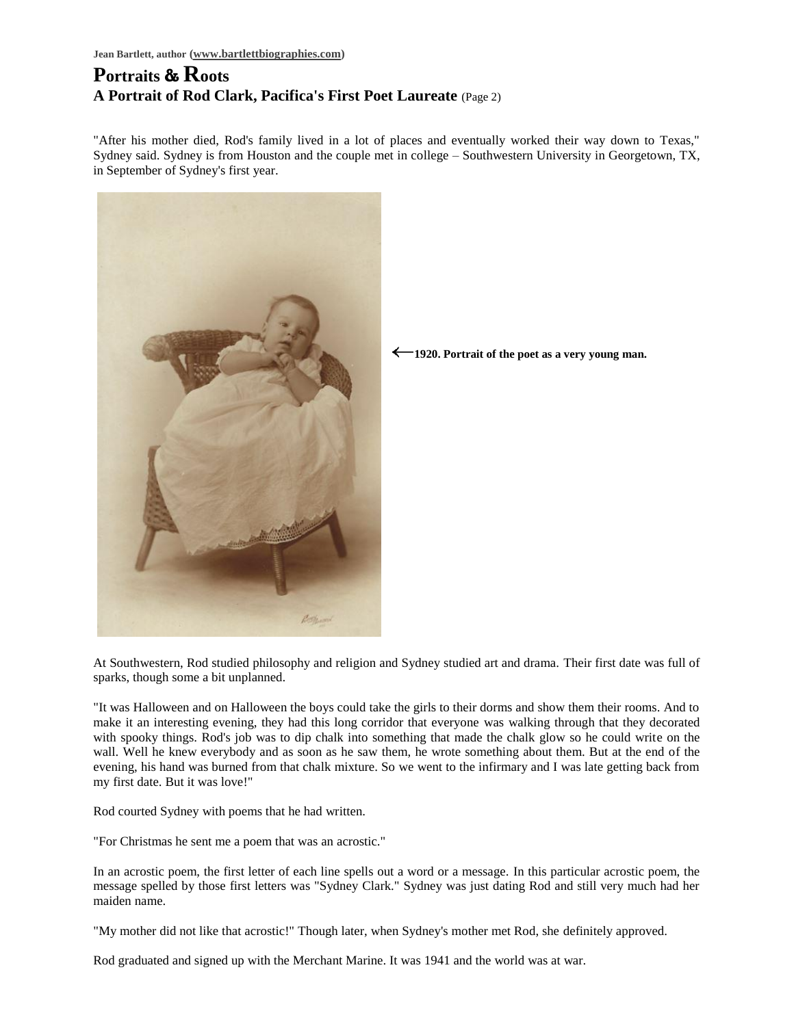# **Portraits & Roots A Portrait of Rod Clark, Pacifica's First Poet Laureate** (Page 2)

"After his mother died, Rod's family lived in a lot of places and eventually worked their way down to Texas," Sydney said. Sydney is from Houston and the couple met in college – Southwestern University in Georgetown, TX, in September of Sydney's first year.



**1920. Portrait of the poet as a very young man.**

At Southwestern, Rod studied philosophy and religion and Sydney studied art and drama. Their first date was full of sparks, though some a bit unplanned.

"It was Halloween and on Halloween the boys could take the girls to their dorms and show them their rooms. And to make it an interesting evening, they had this long corridor that everyone was walking through that they decorated with spooky things. Rod's job was to dip chalk into something that made the chalk glow so he could write on the wall. Well he knew everybody and as soon as he saw them, he wrote something about them. But at the end of the evening, his hand was burned from that chalk mixture. So we went to the infirmary and I was late getting back from my first date. But it was love!"

Rod courted Sydney with poems that he had written.

"For Christmas he sent me a poem that was an acrostic."

In an acrostic poem, the first letter of each line spells out a word or a message. In this particular acrostic poem, the message spelled by those first letters was "Sydney Clark." Sydney was just dating Rod and still very much had her maiden name.

"My mother did not like that acrostic!" Though later, when Sydney's mother met Rod, she definitely approved.

Rod graduated and signed up with the Merchant Marine. It was 1941 and the world was at war.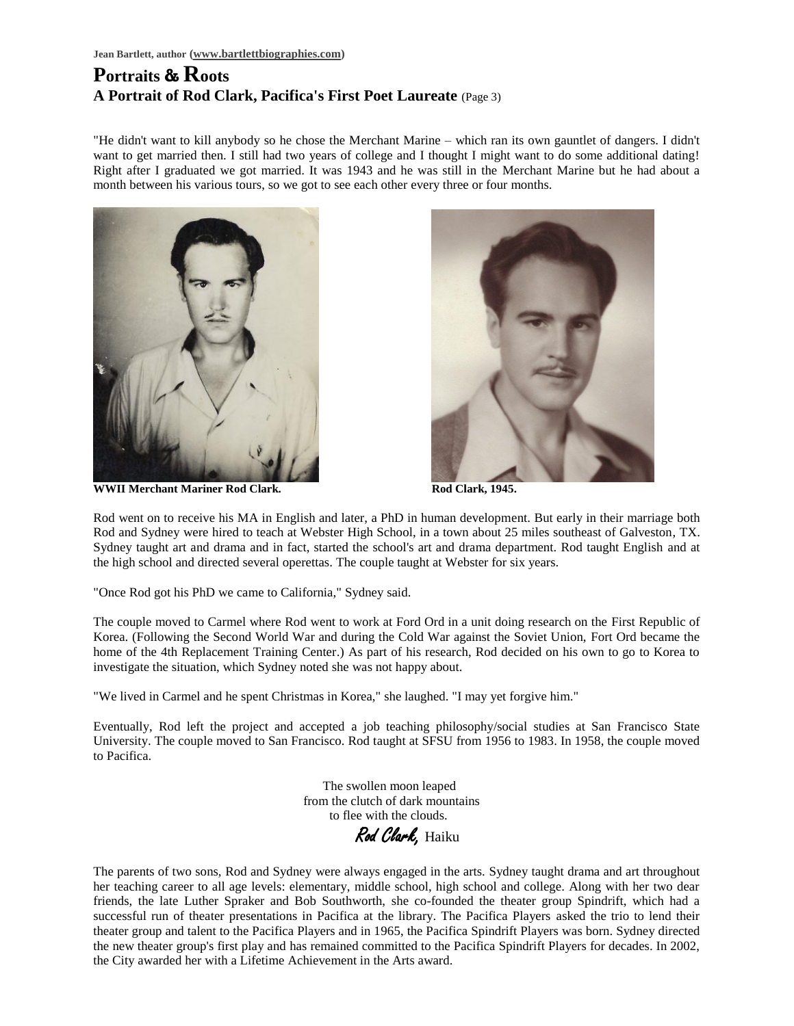# **Portraits & Roots A Portrait of Rod Clark, Pacifica's First Poet Laureate** (Page 3)

"He didn't want to kill anybody so he chose the Merchant Marine – which ran its own gauntlet of dangers. I didn't want to get married then. I still had two years of college and I thought I might want to do some additional dating! Right after I graduated we got married. It was 1943 and he was still in the Merchant Marine but he had about a month between his various tours, so we got to see each other every three or four months.



**WWII Merchant Mariner Rod Clark. Rod Clark, 1945. Rod Clark, 1945.** 



Rod went on to receive his MA in English and later, a PhD in human development. But early in their marriage both Rod and Sydney were hired to teach at Webster High School, in a town about 25 miles southeast of Galveston, TX. Sydney taught art and drama and in fact, started the school's art and drama department. Rod taught English and at the high school and directed several operettas. The couple taught at Webster for six years.

"Once Rod got his PhD we came to California," Sydney said.

The couple moved to Carmel where Rod went to work at Ford Ord in a unit doing research on the First Republic of Korea. (Following the Second World War and during the Cold War against the Soviet Union, Fort Ord became the home of the 4th Replacement Training Center.) As part of his research, Rod decided on his own to go to Korea to investigate the situation, which Sydney noted she was not happy about.

"We lived in Carmel and he spent Christmas in Korea," she laughed. "I may yet forgive him."

Eventually, Rod left the project and accepted a job teaching philosophy/social studies at San Francisco State University. The couple moved to San Francisco. Rod taught at SFSU from 1956 to 1983. In 1958, the couple moved to Pacifica.

> The swollen moon leaped from the clutch of dark mountains to flee with the clouds.

Rod Clark, Haiku

The parents of two sons, Rod and Sydney were always engaged in the arts. Sydney taught drama and art throughout her teaching career to all age levels: elementary, middle school, high school and college. Along with her two dear friends, the late Luther Spraker and Bob Southworth, she co-founded the theater group Spindrift, which had a successful run of theater presentations in Pacifica at the library. The Pacifica Players asked the trio to lend their theater group and talent to the Pacifica Players and in 1965, the Pacifica Spindrift Players was born. Sydney directed the new theater group's first play and has remained committed to the Pacifica Spindrift Players for decades. In 2002, the City awarded her with a Lifetime Achievement in the Arts award.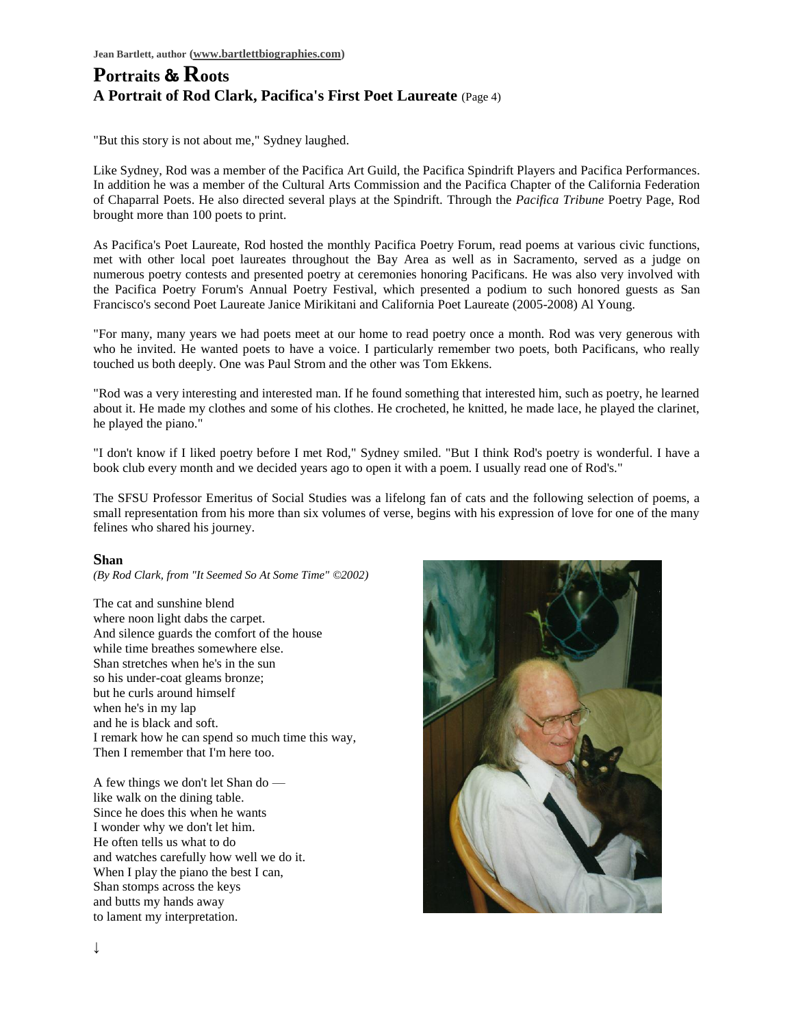#### **Portraits & Roots A Portrait of Rod Clark, Pacifica's First Poet Laureate** (Page 4)

"But this story is not about me," Sydney laughed.

Like Sydney, Rod was a member of the Pacifica Art Guild, the Pacifica Spindrift Players and Pacifica Performances. In addition he was a member of the Cultural Arts Commission and the Pacifica Chapter of the California Federation of Chaparral Poets. He also directed several plays at the Spindrift. Through the *Pacifica Tribune* Poetry Page, Rod brought more than 100 poets to print.

As Pacifica's Poet Laureate, Rod hosted the monthly Pacifica Poetry Forum, read poems at various civic functions, met with other local poet laureates throughout the Bay Area as well as in Sacramento, served as a judge on numerous poetry contests and presented poetry at ceremonies honoring Pacificans. He was also very involved with the Pacifica Poetry Forum's Annual Poetry Festival, which presented a podium to such honored guests as San Francisco's second Poet Laureate Janice Mirikitani and California Poet Laureate (2005-2008) Al Young.

"For many, many years we had poets meet at our home to read poetry once a month. Rod was very generous with who he invited. He wanted poets to have a voice. I particularly remember two poets, both Pacificans, who really touched us both deeply. One was Paul Strom and the other was Tom Ekkens.

"Rod was a very interesting and interested man. If he found something that interested him, such as poetry, he learned about it. He made my clothes and some of his clothes. He crocheted, he knitted, he made lace, he played the clarinet, he played the piano."

"I don't know if I liked poetry before I met Rod," Sydney smiled. "But I think Rod's poetry is wonderful. I have a book club every month and we decided years ago to open it with a poem. I usually read one of Rod's."

The SFSU Professor Emeritus of Social Studies was a lifelong fan of cats and the following selection of poems, a small representation from his more than six volumes of verse, begins with his expression of love for one of the many felines who shared his journey.

#### **Shan**

*(By Rod Clark, from "It Seemed So At Some Time" ©2002)*

The cat and sunshine blend where noon light dabs the carpet. And silence guards the comfort of the house while time breathes somewhere else. Shan stretches when he's in the sun so his under-coat gleams bronze; but he curls around himself when he's in my lap and he is black and soft. I remark how he can spend so much time this way, Then I remember that I'm here too.

A few things we don't let Shan do like walk on the dining table. Since he does this when he wants I wonder why we don't let him. He often tells us what to do and watches carefully how well we do it. When I play the piano the best I can, Shan stomps across the keys and butts my hands away to lament my interpretation.

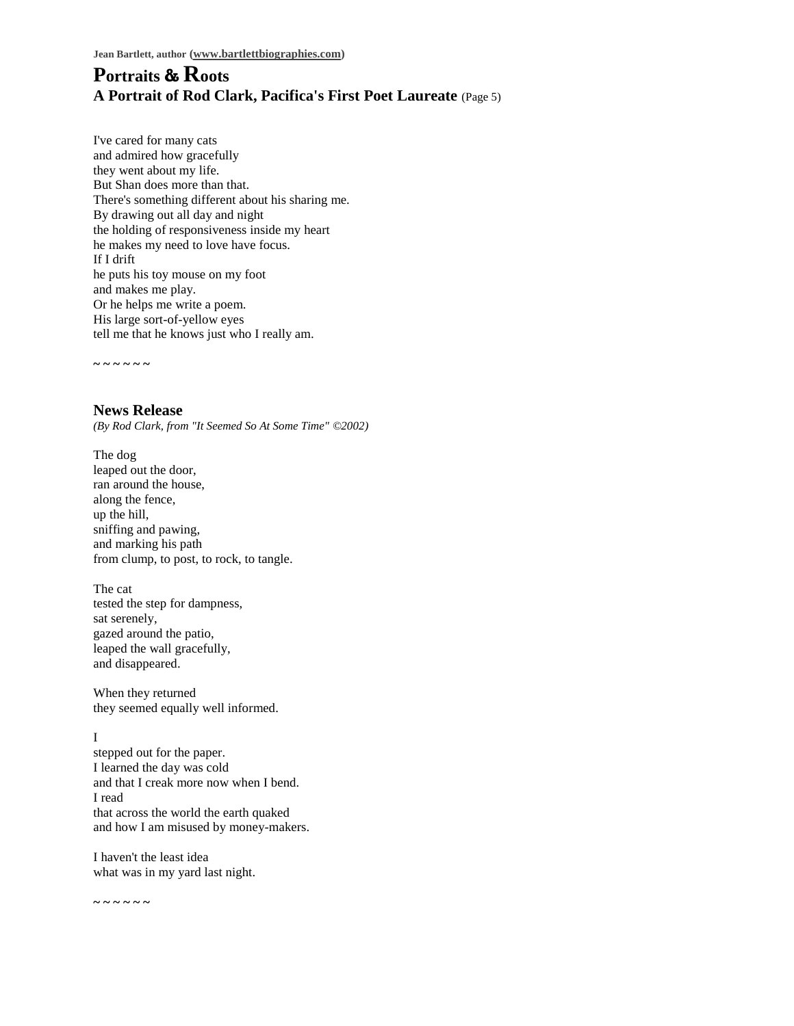#### **Portraits & Roots A Portrait of Rod Clark, Pacifica's First Poet Laureate** (Page 5)

I've cared for many cats and admired how gracefully they went about my life. But Shan does more than that. There's something different about his sharing me. By drawing out all day and night the holding of responsiveness inside my heart he makes my need to love have focus. If I drift he puts his toy mouse on my foot and makes me play. Or he helps me write a poem. His large sort-of-yellow eyes tell me that he knows just who I really am.

**~ ~ ~ ~ ~ ~**

**News Release** *(By Rod Clark, from "It Seemed So At Some Time" ©2002)*

The dog leaped out the door, ran around the house, along the fence, up the hill, sniffing and pawing, and marking his path from clump, to post, to rock, to tangle.

The cat tested the step for dampness, sat serenely, gazed around the patio, leaped the wall gracefully, and disappeared.

When they returned they seemed equally well informed.

#### I

stepped out for the paper. I learned the day was cold and that I creak more now when I bend. I read that across the world the earth quaked and how I am misused by money-makers.

I haven't the least idea what was in my yard last night.

**~ ~ ~ ~ ~ ~**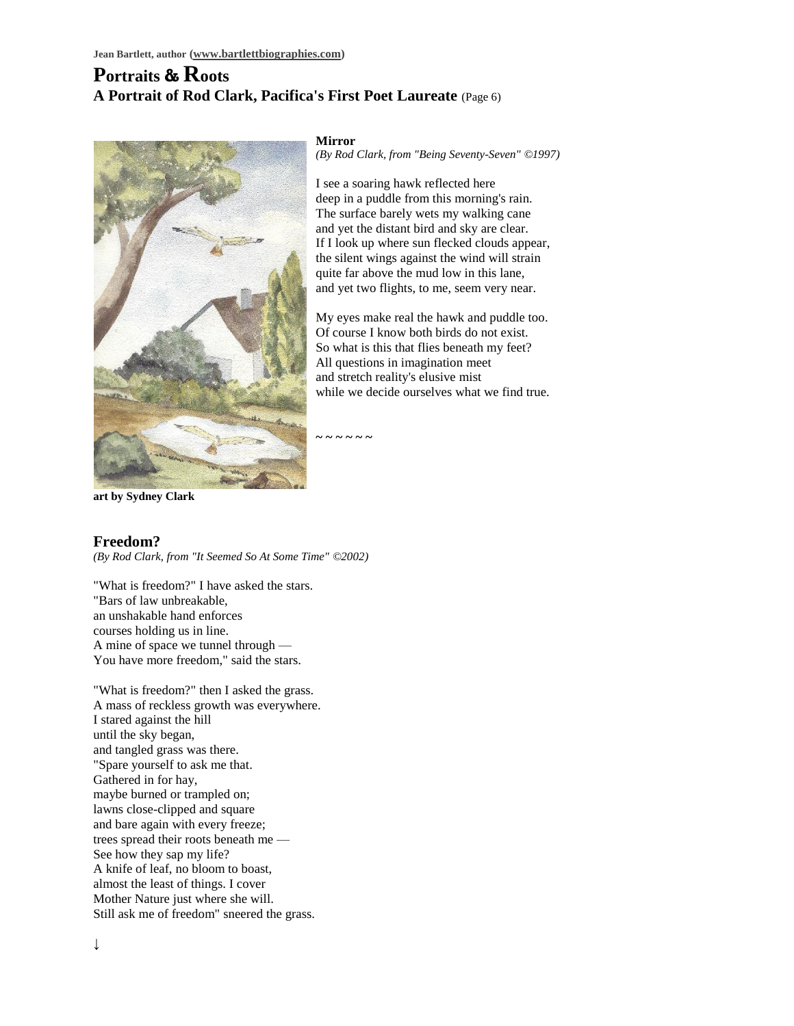### **Portraits & Roots A Portrait of Rod Clark, Pacifica's First Poet Laureate** (Page 6)



**Mirror**

*(By Rod Clark, from "Being Seventy-Seven" ©1997)*

I see a soaring hawk reflected here deep in a puddle from this morning's rain. The surface barely wets my walking cane and yet the distant bird and sky are clear. If I look up where sun flecked clouds appear, the silent wings against the wind will strain quite far above the mud low in this lane, and yet two flights, to me, seem very near.

My eyes make real the hawk and puddle too. Of course I know both birds do not exist. So what is this that flies beneath my feet? All questions in imagination meet and stretch reality's elusive mist while we decide ourselves what we find true.

**~ ~ ~ ~ ~ ~**

**art by Sydney Clark**

#### **Freedom?**

*(By Rod Clark, from "It Seemed So At Some Time" ©2002)*

"What is freedom?" I have asked the stars. "Bars of law unbreakable, an unshakable hand enforces courses holding us in line. A mine of space we tunnel through — You have more freedom," said the stars.

"What is freedom?" then I asked the grass. A mass of reckless growth was everywhere. I stared against the hill until the sky began, and tangled grass was there. "Spare yourself to ask me that. Gathered in for hay, maybe burned or trampled on; lawns close-clipped and square and bare again with every freeze; trees spread their roots beneath me — See how they sap my life? A knife of leaf, no bloom to boast, almost the least of things. I cover Mother Nature just where she will. Still ask me of freedom" sneered the grass.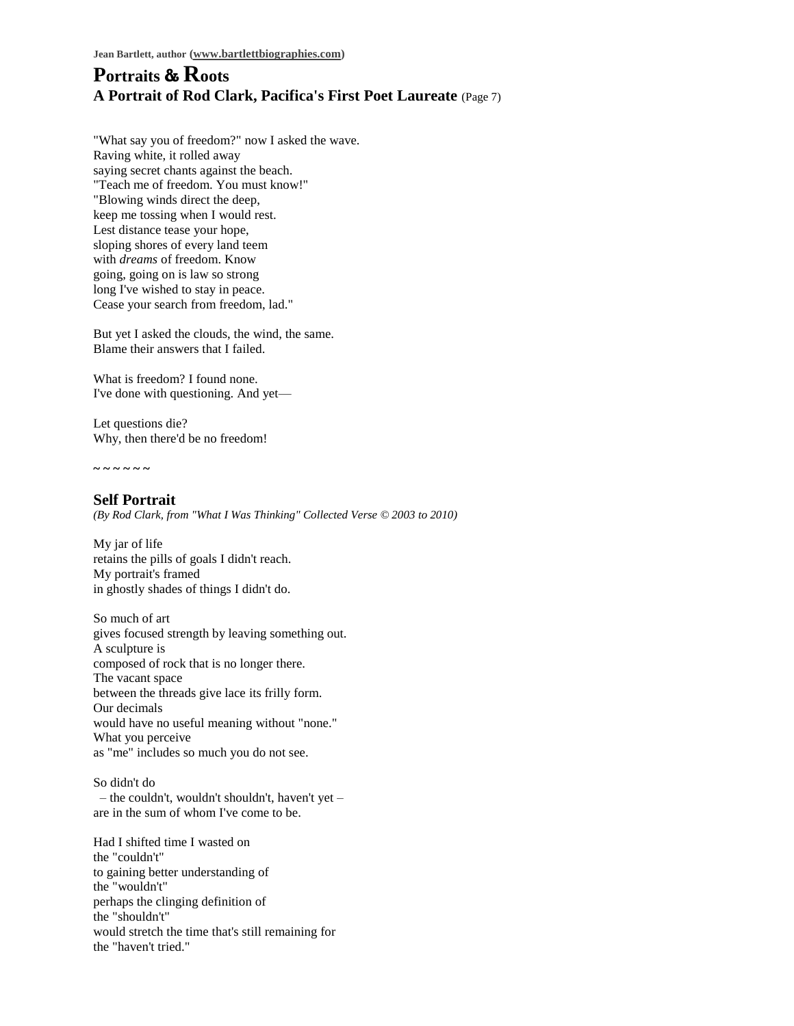#### **Portraits & Roots A Portrait of Rod Clark, Pacifica's First Poet Laureate** (Page 7)

"What say you of freedom?" now I asked the wave. Raving white, it rolled away saying secret chants against the beach. "Teach me of freedom. You must know!" "Blowing winds direct the deep, keep me tossing when I would rest. Lest distance tease your hope, sloping shores of every land teem with *dreams* of freedom. Know going, going on is law so strong long I've wished to stay in peace. Cease your search from freedom, lad."

But yet I asked the clouds, the wind, the same. Blame their answers that I failed.

What is freedom? I found none. I've done with questioning. And yet—

Let questions die? Why, then there'd be no freedom!

**~ ~ ~ ~ ~ ~**

**Self Portrait** *(By Rod Clark, from "What I Was Thinking" Collected Verse © 2003 to 2010)*

My jar of life retains the pills of goals I didn't reach. My portrait's framed in ghostly shades of things I didn't do.

So much of art gives focused strength by leaving something out. A sculpture is composed of rock that is no longer there. The vacant space between the threads give lace its frilly form. Our decimals would have no useful meaning without "none." What you perceive as "me" includes so much you do not see.

So didn't do – the couldn't, wouldn't shouldn't, haven't yet – are in the sum of whom I've come to be.

Had I shifted time I wasted on the "couldn't" to gaining better understanding of the "wouldn't" perhaps the clinging definition of the "shouldn't" would stretch the time that's still remaining for the "haven't tried."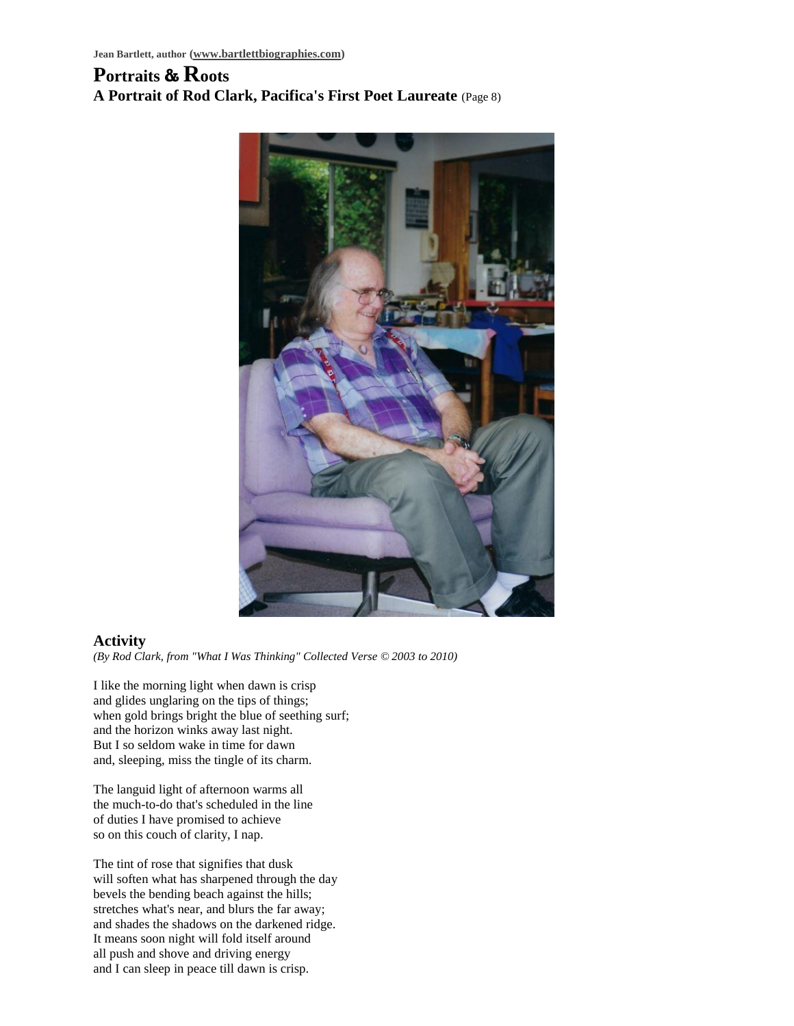# **Portraits & Roots A Portrait of Rod Clark, Pacifica's First Poet Laureate** (Page 8)



#### **Activity**

*(By Rod Clark, from "What I Was Thinking" Collected Verse © 2003 to 2010)*

I like the morning light when dawn is crisp and glides unglaring on the tips of things; when gold brings bright the blue of seething surf; and the horizon winks away last night. But I so seldom wake in time for dawn and, sleeping, miss the tingle of its charm.

The languid light of afternoon warms all the much-to-do that's scheduled in the line of duties I have promised to achieve so on this couch of clarity, I nap.

The tint of rose that signifies that dusk will soften what has sharpened through the day bevels the bending beach against the hills; stretches what's near, and blurs the far away; and shades the shadows on the darkened ridge. It means soon night will fold itself around all push and shove and driving energy and I can sleep in peace till dawn is crisp.